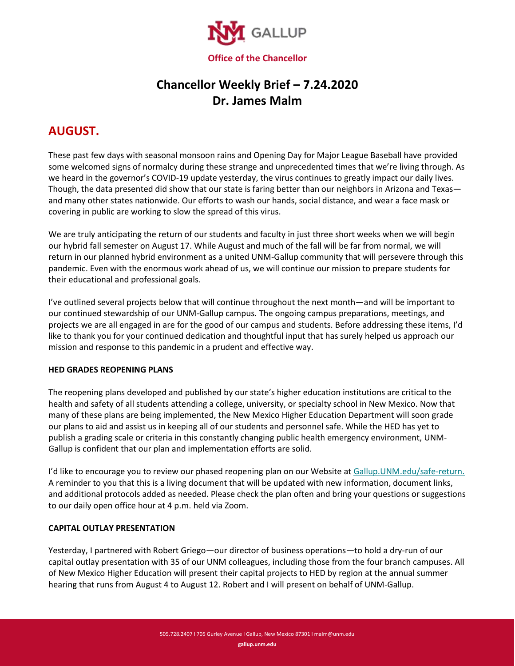

# **Chancellor Weekly Brief – 7.24.2020 Dr. James Malm**

## **AUGUST.**

These past few days with seasonal monsoon rains and Opening Day for Major League Baseball have provided some welcomed signs of normalcy during these strange and unprecedented times that we're living through. As we heard in the governor's COVID-19 update yesterday, the virus continues to greatly impact our daily lives. Though, the data presented did show that our state is faring better than our neighbors in Arizona and Texas and many other states nationwide. Our efforts to wash our hands, social distance, and wear a face mask or covering in public are working to slow the spread of this virus.

We are truly anticipating the return of our students and faculty in just three short weeks when we will begin our hybrid fall semester on August 17. While August and much of the fall will be far from normal, we will return in our planned hybrid environment as a united UNM-Gallup community that will persevere through this pandemic. Even with the enormous work ahead of us, we will continue our mission to prepare students for their educational and professional goals.

I've outlined several projects below that will continue throughout the next month—and will be important to our continued stewardship of our UNM-Gallup campus. The ongoing campus preparations, meetings, and projects we are all engaged in are for the good of our campus and students. Before addressing these items, I'd like to thank you for your continued dedication and thoughtful input that has surely helped us approach our mission and response to this pandemic in a prudent and effective way.

#### **HED GRADES REOPENING PLANS**

The reopening plans developed and published by our state's higher education institutions are critical to the health and safety of all students attending a college, university, or specialty school in New Mexico. Now that many of these plans are being implemented, the New Mexico Higher Education Department will soon grade our plans to aid and assist us in keeping all of our students and personnel safe. While the HED has yet to publish a grading scale or criteria in this constantly changing public health emergency environment, UNM-Gallup is confident that our plan and implementation efforts are solid.

I'd like to encourage you to review our phased reopening plan on our Website at [Gallup.UNM.edu/safe-return.](https://www.gallup.unm.edu/safe-return/) A reminder to you that this is a living document that will be updated with new information, document links, and additional protocols added as needed. Please check the plan often and bring your questions or suggestions to our daily open office hour at 4 p.m. held via Zoom.

## **CAPITAL OUTLAY PRESENTATION**

Yesterday, I partnered with Robert Griego—our director of business operations—to hold a dry-run of our capital outlay presentation with 35 of our UNM colleagues, including those from the four branch campuses. All of New Mexico Higher Education will present their capital projects to HED by region at the annual summer hearing that runs from August 4 to August 12. Robert and I will present on behalf of UNM-Gallup.